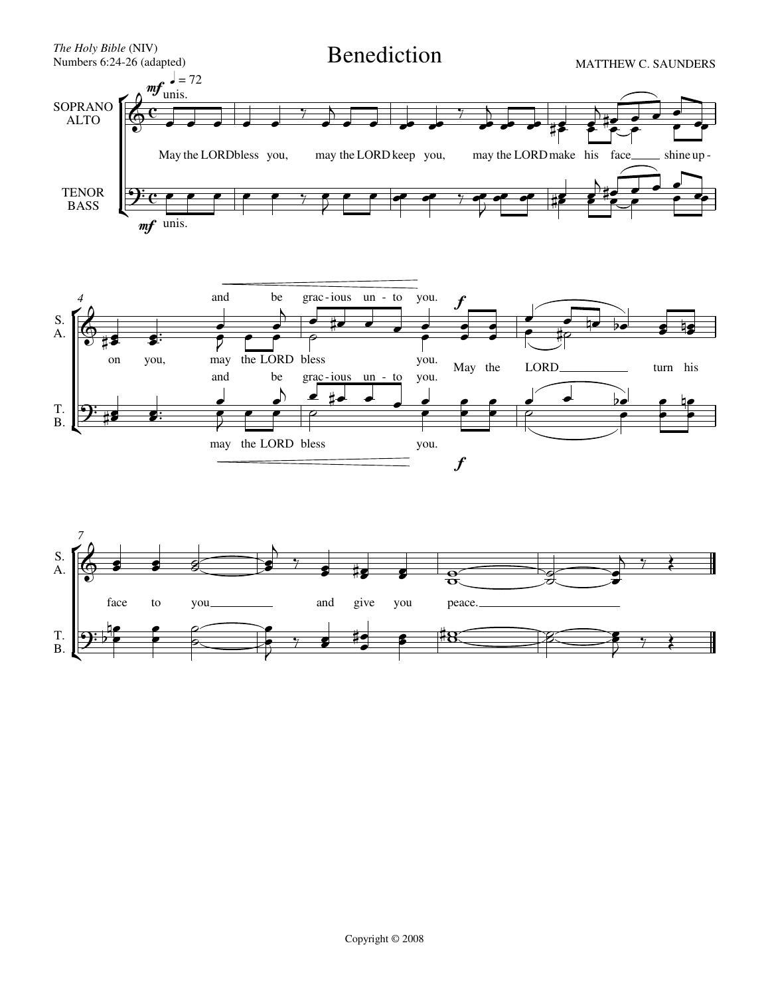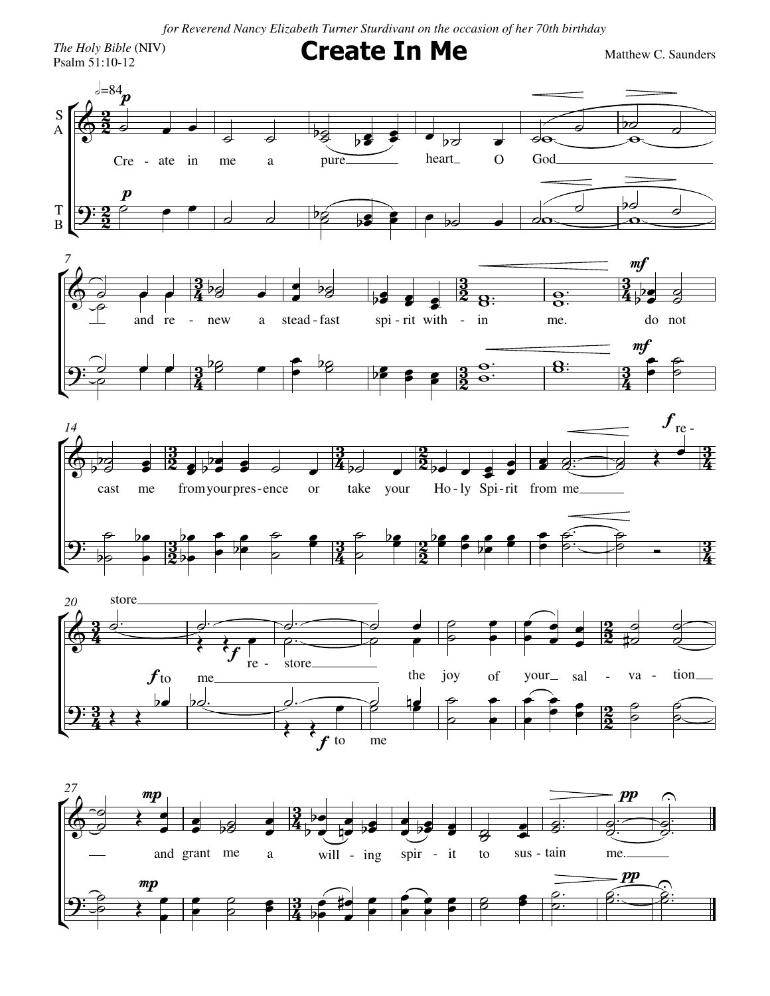*for Reverend Nancy Elizabeth Turner Sturdivant on the occasion of her 70th birthday*

*The Holy Bible* (NIV)

The Holy Bible (NIV)  $\blacksquare$   $\blacksquare$   $\blacksquare$   $\blacksquare$   $\blacksquare$   $\blacksquare$   $\blacksquare$   $\blacksquare$   $\blacksquare$   $\blacksquare$   $\blacksquare$   $\blacksquare$   $\blacksquare$   $\blacksquare$   $\blacksquare$   $\blacksquare$   $\blacksquare$   $\blacksquare$   $\blacksquare$   $\blacksquare$   $\blacksquare$   $\blacksquare$   $\blacksquare$   $\blacksquare$   $\blacksquare$   $\blacksquare$   $\blacksquare$   $\blacksquare$   $\blacks$ 

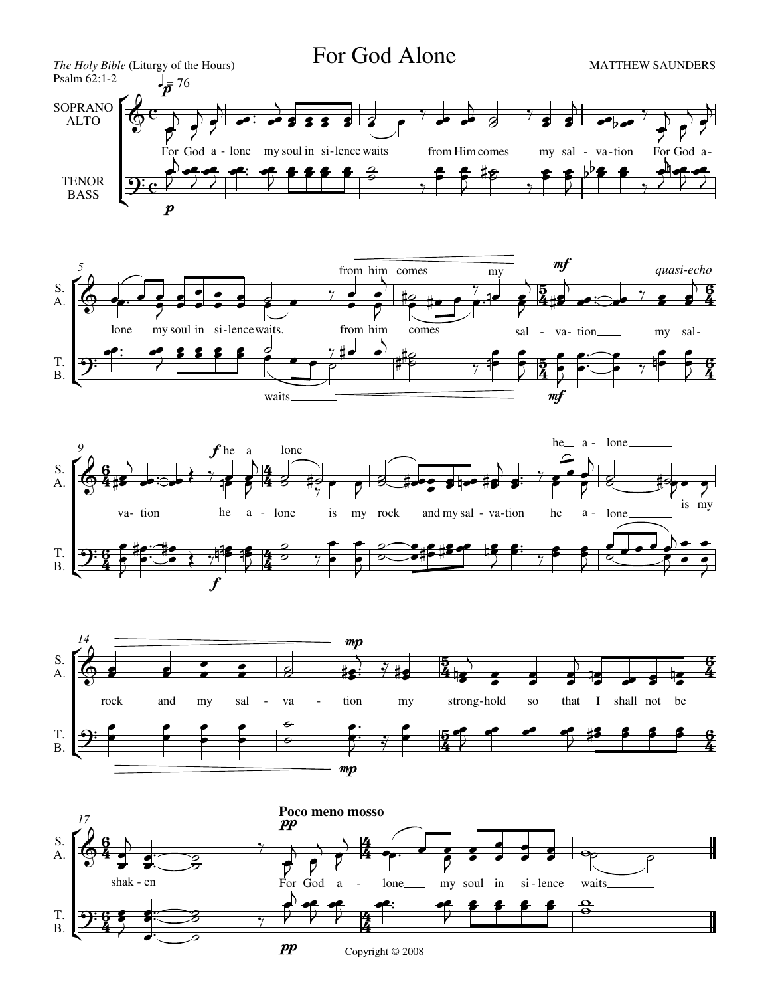